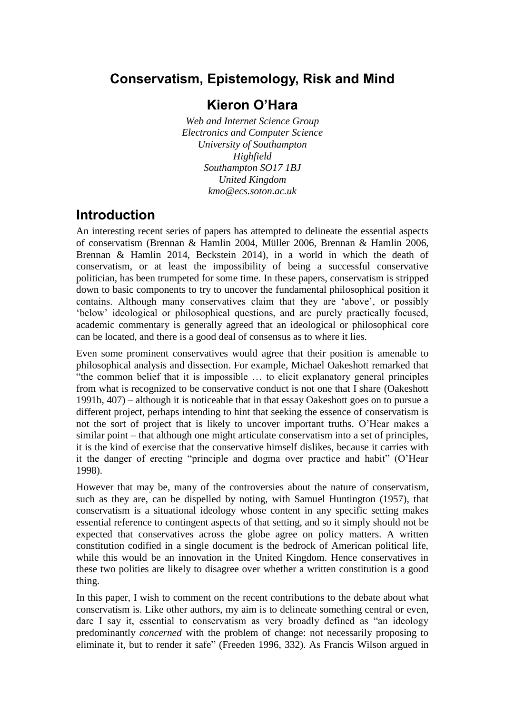# **Conservatism, Epistemology, Risk and Mind**

## **Kieron O'Hara**

*Web and Internet Science Group Electronics and Computer Science University of Southampton Highfield Southampton SO17 1BJ United Kingdom kmo@ecs.soton.ac.uk*

## **Introduction**

An interesting recent series of papers has attempted to delineate the essential aspects of conservatism (Brennan & Hamlin 2004, Müller 2006, Brennan & Hamlin 2006, Brennan & Hamlin 2014, Beckstein 2014), in a world in which the death of conservatism, or at least the impossibility of being a successful conservative politician, has been trumpeted for some time. In these papers, conservatism is stripped down to basic components to try to uncover the fundamental philosophical position it contains. Although many conservatives claim that they are 'above', or possibly 'below' ideological or philosophical questions, and are purely practically focused, academic commentary is generally agreed that an ideological or philosophical core can be located, and there is a good deal of consensus as to where it lies.

Even some prominent conservatives would agree that their position is amenable to philosophical analysis and dissection. For example, Michael Oakeshott remarked that "the common belief that it is impossible … to elicit explanatory general principles from what is recognized to be conservative conduct is not one that I share (Oakeshott 1991b, 407) – although it is noticeable that in that essay Oakeshott goes on to pursue a different project, perhaps intending to hint that seeking the essence of conservatism is not the sort of project that is likely to uncover important truths. O'Hear makes a similar point – that although one might articulate conservatism into a set of principles, it is the kind of exercise that the conservative himself dislikes, because it carries with it the danger of erecting "principle and dogma over practice and habit" (O'Hear 1998).

However that may be, many of the controversies about the nature of conservatism, such as they are, can be dispelled by noting, with Samuel Huntington (1957), that conservatism is a situational ideology whose content in any specific setting makes essential reference to contingent aspects of that setting, and so it simply should not be expected that conservatives across the globe agree on policy matters. A written constitution codified in a single document is the bedrock of American political life, while this would be an innovation in the United Kingdom. Hence conservatives in these two polities are likely to disagree over whether a written constitution is a good thing.

In this paper, I wish to comment on the recent contributions to the debate about what conservatism is. Like other authors, my aim is to delineate something central or even, dare I say it, essential to conservatism as very broadly defined as "an ideology predominantly *concerned* with the problem of change: not necessarily proposing to eliminate it, but to render it safe" (Freeden 1996, 332). As Francis Wilson argued in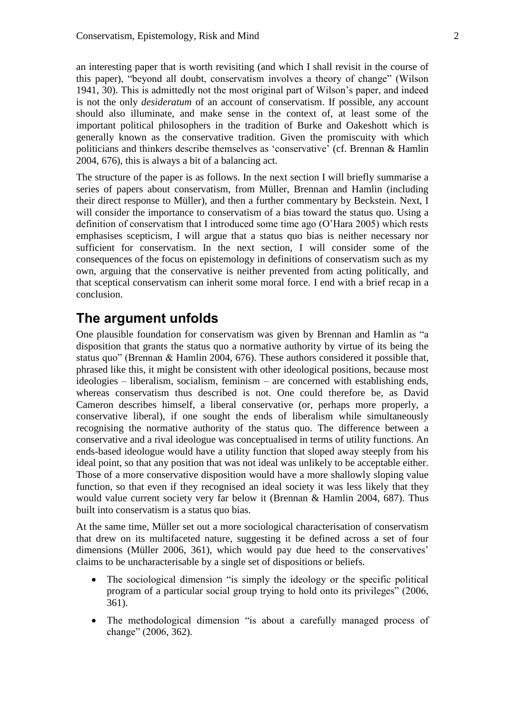an interesting paper that is worth revisiting (and which I shall revisit in the course of this paper), "beyond all doubt, conservatism involves a theory of change" (Wilson 1941, 30). This is admittedly not the most original part of Wilson's paper, and indeed is not the only *desideratum* of an account of conservatism. If possible, any account should also illuminate, and make sense in the context of, at least some of the important political philosophers in the tradition of Burke and Oakeshott which is generally known as the conservative tradition. Given the promiscuity with which politicians and thinkers describe themselves as 'conservative' (cf. Brennan & Hamlin 2004, 676), this is always a bit of a balancing act.

The structure of the paper is as follows. In the next section I will briefly summarise a series of papers about conservatism, from Müller, Brennan and Hamlin (including their direct response to Müller), and then a further commentary by Beckstein. Next, I will consider the importance to conservatism of a bias toward the status quo. Using a definition of conservatism that I introduced some time ago (O'Hara 2005) which rests emphasises scepticism, I will argue that a status quo bias is neither necessary nor sufficient for conservatism. In the next section, I will consider some of the consequences of the focus on epistemology in definitions of conservatism such as my own, arguing that the conservative is neither prevented from acting politically, and that sceptical conservatism can inherit some moral force. I end with a brief recap in a conclusion.

### **The argument unfolds**

One plausible foundation for conservatism was given by Brennan and Hamlin as "a disposition that grants the status quo a normative authority by virtue of its being the status quo" (Brennan & Hamlin 2004, 676). These authors considered it possible that, phrased like this, it might be consistent with other ideological positions, because most ideologies – liberalism, socialism, feminism – are concerned with establishing ends, whereas conservatism thus described is not. One could therefore be, as David Cameron describes himself, a liberal conservative (or, perhaps more properly, a conservative liberal), if one sought the ends of liberalism while simultaneously recognising the normative authority of the status quo. The difference between a conservative and a rival ideologue was conceptualised in terms of utility functions. An ends-based ideologue would have a utility function that sloped away steeply from his ideal point, so that any position that was not ideal was unlikely to be acceptable either. Those of a more conservative disposition would have a more shallowly sloping value function, so that even if they recognised an ideal society it was less likely that they would value current society very far below it (Brennan & Hamlin 2004, 687). Thus built into conservatism is a status quo bias.

At the same time, Müller set out a more sociological characterisation of conservatism that drew on its multifaceted nature, suggesting it be defined across a set of four dimensions (Müller 2006, 361), which would pay due heed to the conservatives' claims to be uncharacterisable by a single set of dispositions or beliefs.

- The sociological dimension "is simply the ideology or the specific political program of a particular social group trying to hold onto its privileges" (2006, 361).
- The methodological dimension "is about a carefully managed process of change" (2006, 362).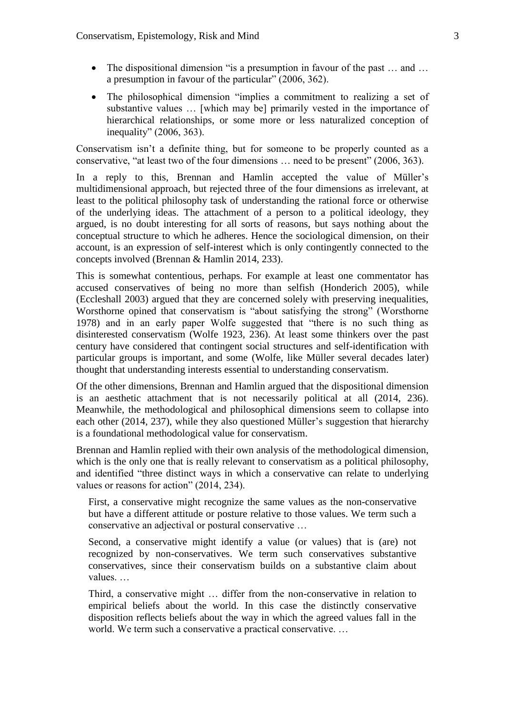- The dispositional dimension "is a presumption in favour of the past ... and ... a presumption in favour of the particular" (2006, 362).
- The philosophical dimension "implies a commitment to realizing a set of substantive values … [which may be] primarily vested in the importance of hierarchical relationships, or some more or less naturalized conception of inequality" (2006, 363).

Conservatism isn't a definite thing, but for someone to be properly counted as a conservative, "at least two of the four dimensions … need to be present" (2006, 363).

In a reply to this, Brennan and Hamlin accepted the value of Müller's multidimensional approach, but rejected three of the four dimensions as irrelevant, at least to the political philosophy task of understanding the rational force or otherwise of the underlying ideas. The attachment of a person to a political ideology, they argued, is no doubt interesting for all sorts of reasons, but says nothing about the conceptual structure to which he adheres. Hence the sociological dimension, on their account, is an expression of self-interest which is only contingently connected to the concepts involved (Brennan & Hamlin 2014, 233).

This is somewhat contentious, perhaps. For example at least one commentator has accused conservatives of being no more than selfish (Honderich 2005), while (Eccleshall 2003) argued that they are concerned solely with preserving inequalities, Worsthorne opined that conservatism is "about satisfying the strong" (Worsthorne 1978) and in an early paper Wolfe suggested that "there is no such thing as disinterested conservatism (Wolfe 1923, 236). At least some thinkers over the past century have considered that contingent social structures and self-identification with particular groups is important, and some (Wolfe, like Müller several decades later) thought that understanding interests essential to understanding conservatism.

Of the other dimensions, Brennan and Hamlin argued that the dispositional dimension is an aesthetic attachment that is not necessarily political at all (2014, 236). Meanwhile, the methodological and philosophical dimensions seem to collapse into each other (2014, 237), while they also questioned Müller's suggestion that hierarchy is a foundational methodological value for conservatism.

Brennan and Hamlin replied with their own analysis of the methodological dimension, which is the only one that is really relevant to conservatism as a political philosophy, and identified "three distinct ways in which a conservative can relate to underlying values or reasons for action" (2014, 234).

First, a conservative might recognize the same values as the non-conservative but have a different attitude or posture relative to those values. We term such a conservative an adjectival or postural conservative …

Second, a conservative might identify a value (or values) that is (are) not recognized by non-conservatives. We term such conservatives substantive conservatives, since their conservatism builds on a substantive claim about values. …

Third, a conservative might … differ from the non-conservative in relation to empirical beliefs about the world. In this case the distinctly conservative disposition reflects beliefs about the way in which the agreed values fall in the world. We term such a conservative a practical conservative....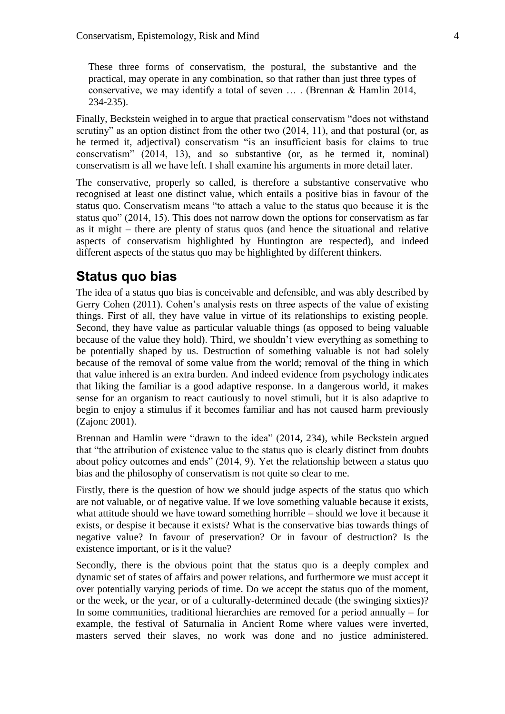These three forms of conservatism, the postural, the substantive and the practical, may operate in any combination, so that rather than just three types of conservative, we may identify a total of seven … . (Brennan & Hamlin 2014, 234-235).

Finally, Beckstein weighed in to argue that practical conservatism "does not withstand scrutiny" as an option distinct from the other two  $(2014, 11)$ , and that postural (or, as he termed it, adjectival) conservatism "is an insufficient basis for claims to true conservatism" (2014, 13), and so substantive (or, as he termed it, nominal) conservatism is all we have left. I shall examine his arguments in more detail later.

The conservative, properly so called, is therefore a substantive conservative who recognised at least one distinct value, which entails a positive bias in favour of the status quo. Conservatism means "to attach a value to the status quo because it is the status quo" (2014, 15). This does not narrow down the options for conservatism as far as it might – there are plenty of status quos (and hence the situational and relative aspects of conservatism highlighted by Huntington are respected), and indeed different aspects of the status quo may be highlighted by different thinkers.

### **Status quo bias**

The idea of a status quo bias is conceivable and defensible, and was ably described by Gerry Cohen (2011). Cohen's analysis rests on three aspects of the value of existing things. First of all, they have value in virtue of its relationships to existing people. Second, they have value as particular valuable things (as opposed to being valuable because of the value they hold). Third, we shouldn't view everything as something to be potentially shaped by us. Destruction of something valuable is not bad solely because of the removal of some value from the world; removal of the thing in which that value inhered is an extra burden. And indeed evidence from psychology indicates that liking the familiar is a good adaptive response. In a dangerous world, it makes sense for an organism to react cautiously to novel stimuli, but it is also adaptive to begin to enjoy a stimulus if it becomes familiar and has not caused harm previously (Zajonc 2001).

Brennan and Hamlin were "drawn to the idea" (2014, 234), while Beckstein argued that "the attribution of existence value to the status quo is clearly distinct from doubts about policy outcomes and ends" (2014, 9). Yet the relationship between a status quo bias and the philosophy of conservatism is not quite so clear to me.

Firstly, there is the question of how we should judge aspects of the status quo which are not valuable, or of negative value. If we love something valuable because it exists, what attitude should we have toward something horrible – should we love it because it exists, or despise it because it exists? What is the conservative bias towards things of negative value? In favour of preservation? Or in favour of destruction? Is the existence important, or is it the value?

Secondly, there is the obvious point that the status quo is a deeply complex and dynamic set of states of affairs and power relations, and furthermore we must accept it over potentially varying periods of time. Do we accept the status quo of the moment, or the week, or the year, or of a culturally-determined decade (the swinging sixties)? In some communities, traditional hierarchies are removed for a period annually – for example, the festival of Saturnalia in Ancient Rome where values were inverted, masters served their slaves, no work was done and no justice administered.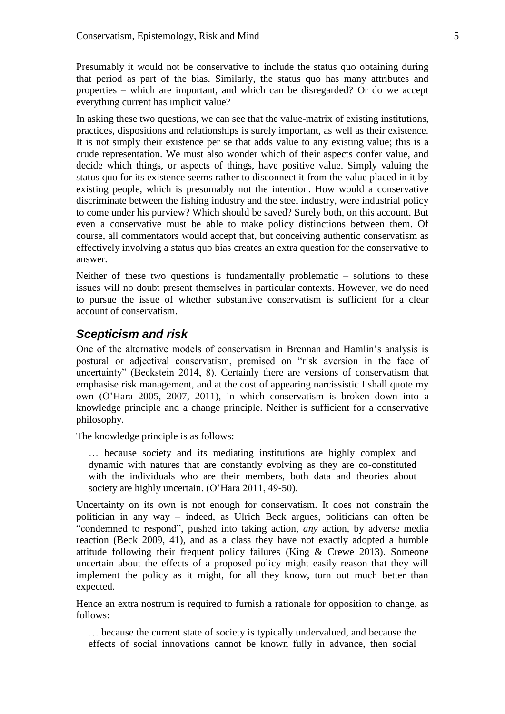Presumably it would not be conservative to include the status quo obtaining during that period as part of the bias. Similarly, the status quo has many attributes and properties – which are important, and which can be disregarded? Or do we accept everything current has implicit value?

In asking these two questions, we can see that the value-matrix of existing institutions, practices, dispositions and relationships is surely important, as well as their existence. It is not simply their existence per se that adds value to any existing value; this is a crude representation. We must also wonder which of their aspects confer value, and decide which things, or aspects of things, have positive value. Simply valuing the status quo for its existence seems rather to disconnect it from the value placed in it by existing people, which is presumably not the intention. How would a conservative discriminate between the fishing industry and the steel industry, were industrial policy to come under his purview? Which should be saved? Surely both, on this account. But even a conservative must be able to make policy distinctions between them. Of course, all commentators would accept that, but conceiving authentic conservatism as effectively involving a status quo bias creates an extra question for the conservative to answer.

Neither of these two questions is fundamentally problematic – solutions to these issues will no doubt present themselves in particular contexts. However, we do need to pursue the issue of whether substantive conservatism is sufficient for a clear account of conservatism.

### *Scepticism and risk*

One of the alternative models of conservatism in Brennan and Hamlin's analysis is postural or adjectival conservatism, premised on "risk aversion in the face of uncertainty" (Beckstein 2014, 8). Certainly there are versions of conservatism that emphasise risk management, and at the cost of appearing narcissistic I shall quote my own (O'Hara 2005, 2007, 2011), in which conservatism is broken down into a knowledge principle and a change principle. Neither is sufficient for a conservative philosophy.

The knowledge principle is as follows:

… because society and its mediating institutions are highly complex and dynamic with natures that are constantly evolving as they are co-constituted with the individuals who are their members, both data and theories about society are highly uncertain. (O'Hara 2011, 49-50).

Uncertainty on its own is not enough for conservatism. It does not constrain the politician in any way – indeed, as Ulrich Beck argues, politicians can often be "condemned to respond", pushed into taking action, *any* action, by adverse media reaction (Beck 2009, 41), and as a class they have not exactly adopted a humble attitude following their frequent policy failures (King & Crewe 2013). Someone uncertain about the effects of a proposed policy might easily reason that they will implement the policy as it might, for all they know, turn out much better than expected.

Hence an extra nostrum is required to furnish a rationale for opposition to change, as follows:

… because the current state of society is typically undervalued, and because the effects of social innovations cannot be known fully in advance, then social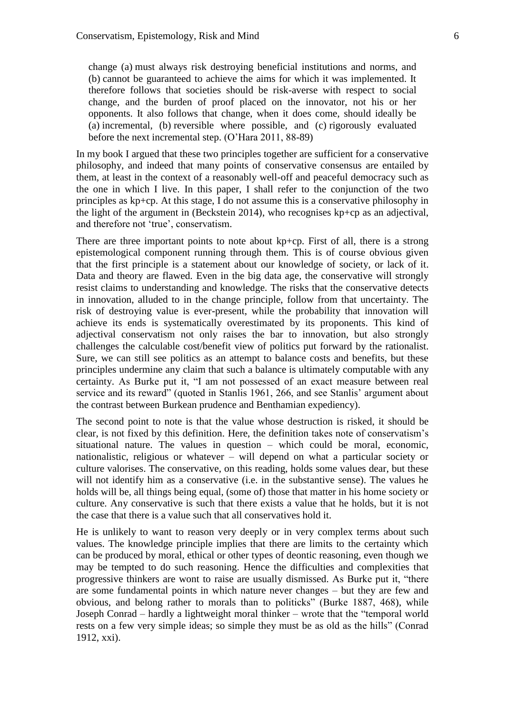change (a) must always risk destroying beneficial institutions and norms, and (b) cannot be guaranteed to achieve the aims for which it was implemented. It therefore follows that societies should be risk-averse with respect to social change, and the burden of proof placed on the innovator, not his or her opponents. It also follows that change, when it does come, should ideally be (a) incremental, (b) reversible where possible, and (c) rigorously evaluated before the next incremental step. (O'Hara 2011, 88-89)

In my book I argued that these two principles together are sufficient for a conservative philosophy, and indeed that many points of conservative consensus are entailed by them, at least in the context of a reasonably well-off and peaceful democracy such as the one in which I live. In this paper, I shall refer to the conjunction of the two principles as kp+cp. At this stage, I do not assume this is a conservative philosophy in the light of the argument in (Beckstein 2014), who recognises kp+cp as an adjectival, and therefore not 'true', conservatism.

There are three important points to note about kp+cp. First of all, there is a strong epistemological component running through them. This is of course obvious given that the first principle is a statement about our knowledge of society, or lack of it. Data and theory are flawed. Even in the big data age, the conservative will strongly resist claims to understanding and knowledge. The risks that the conservative detects in innovation, alluded to in the change principle, follow from that uncertainty. The risk of destroying value is ever-present, while the probability that innovation will achieve its ends is systematically overestimated by its proponents. This kind of adjectival conservatism not only raises the bar to innovation, but also strongly challenges the calculable cost/benefit view of politics put forward by the rationalist. Sure, we can still see politics as an attempt to balance costs and benefits, but these principles undermine any claim that such a balance is ultimately computable with any certainty. As Burke put it, "I am not possessed of an exact measure between real service and its reward" (quoted in Stanlis 1961, 266, and see Stanlis' argument about the contrast between Burkean prudence and Benthamian expediency).

The second point to note is that the value whose destruction is risked, it should be clear, is not fixed by this definition. Here, the definition takes note of conservatism's situational nature. The values in question – which could be moral, economic, nationalistic, religious or whatever – will depend on what a particular society or culture valorises. The conservative, on this reading, holds some values dear, but these will not identify him as a conservative (i.e. in the substantive sense). The values he holds will be, all things being equal, (some of) those that matter in his home society or culture. Any conservative is such that there exists a value that he holds, but it is not the case that there is a value such that all conservatives hold it.

He is unlikely to want to reason very deeply or in very complex terms about such values. The knowledge principle implies that there are limits to the certainty which can be produced by moral, ethical or other types of deontic reasoning, even though we may be tempted to do such reasoning. Hence the difficulties and complexities that progressive thinkers are wont to raise are usually dismissed. As Burke put it, "there are some fundamental points in which nature never changes – but they are few and obvious, and belong rather to morals than to politicks" (Burke 1887, 468), while Joseph Conrad – hardly a lightweight moral thinker – wrote that the "temporal world rests on a few very simple ideas; so simple they must be as old as the hills" (Conrad 1912, xxi).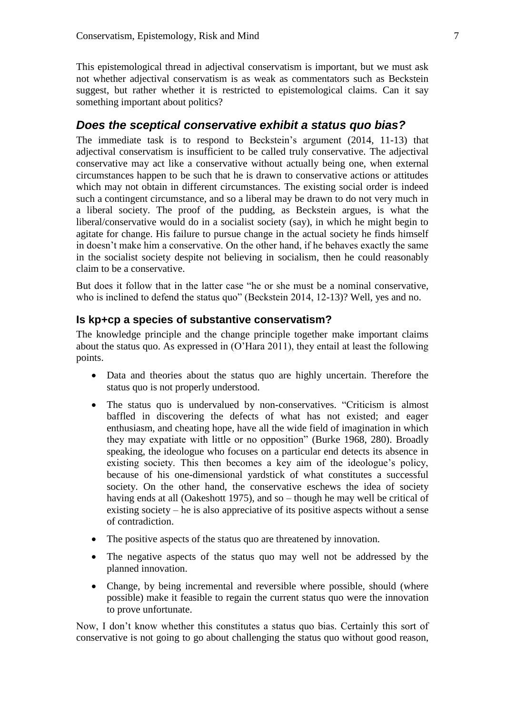This epistemological thread in adjectival conservatism is important, but we must ask not whether adjectival conservatism is as weak as commentators such as Beckstein suggest, but rather whether it is restricted to epistemological claims. Can it say something important about politics?

### *Does the sceptical conservative exhibit a status quo bias?*

The immediate task is to respond to Beckstein's argument (2014, 11-13) that adjectival conservatism is insufficient to be called truly conservative. The adjectival conservative may act like a conservative without actually being one, when external circumstances happen to be such that he is drawn to conservative actions or attitudes which may not obtain in different circumstances. The existing social order is indeed such a contingent circumstance, and so a liberal may be drawn to do not very much in a liberal society. The proof of the pudding, as Beckstein argues, is what the liberal/conservative would do in a socialist society (say), in which he might begin to agitate for change. His failure to pursue change in the actual society he finds himself in doesn't make him a conservative. On the other hand, if he behaves exactly the same in the socialist society despite not believing in socialism, then he could reasonably claim to be a conservative.

But does it follow that in the latter case "he or she must be a nominal conservative, who is inclined to defend the status quo" (Beckstein 2014, 12-13)? Well, yes and no.

### **Is kp+cp a species of substantive conservatism?**

The knowledge principle and the change principle together make important claims about the status quo. As expressed in (O'Hara 2011), they entail at least the following points.

- Data and theories about the status quo are highly uncertain. Therefore the status quo is not properly understood.
- The status quo is undervalued by non-conservatives. "Criticism is almost baffled in discovering the defects of what has not existed; and eager enthusiasm, and cheating hope, have all the wide field of imagination in which they may expatiate with little or no opposition" (Burke 1968, 280). Broadly speaking, the ideologue who focuses on a particular end detects its absence in existing society. This then becomes a key aim of the ideologue's policy, because of his one-dimensional yardstick of what constitutes a successful society. On the other hand, the conservative eschews the idea of society having ends at all (Oakeshott 1975), and so – though he may well be critical of existing society – he is also appreciative of its positive aspects without a sense of contradiction.
- The positive aspects of the status quo are threatened by innovation.
- The negative aspects of the status quo may well not be addressed by the planned innovation.
- Change, by being incremental and reversible where possible, should (where possible) make it feasible to regain the current status quo were the innovation to prove unfortunate.

Now, I don't know whether this constitutes a status quo bias. Certainly this sort of conservative is not going to go about challenging the status quo without good reason,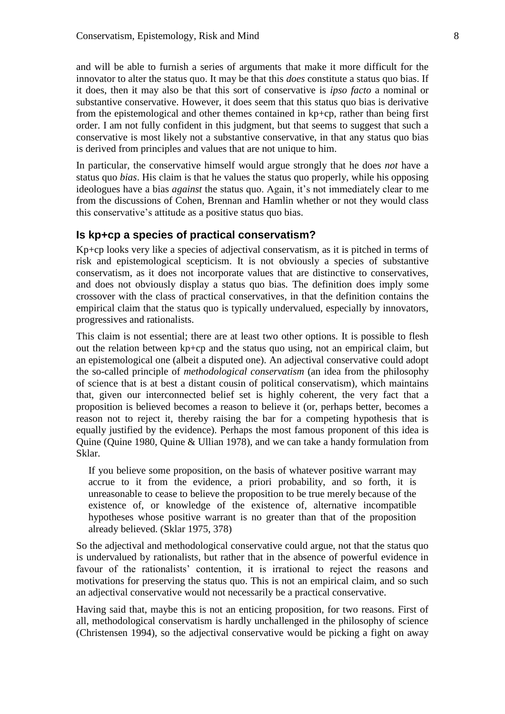and will be able to furnish a series of arguments that make it more difficult for the innovator to alter the status quo. It may be that this *does* constitute a status quo bias. If it does, then it may also be that this sort of conservative is *ipso facto* a nominal or substantive conservative. However, it does seem that this status quo bias is derivative from the epistemological and other themes contained in kp+cp, rather than being first order. I am not fully confident in this judgment, but that seems to suggest that such a conservative is most likely not a substantive conservative, in that any status quo bias is derived from principles and values that are not unique to him.

In particular, the conservative himself would argue strongly that he does *not* have a status quo *bias*. His claim is that he values the status quo properly, while his opposing ideologues have a bias *against* the status quo. Again, it's not immediately clear to me from the discussions of Cohen, Brennan and Hamlin whether or not they would class this conservative's attitude as a positive status quo bias.

#### **Is kp+cp a species of practical conservatism?**

Kp+cp looks very like a species of adjectival conservatism, as it is pitched in terms of risk and epistemological scepticism. It is not obviously a species of substantive conservatism, as it does not incorporate values that are distinctive to conservatives, and does not obviously display a status quo bias. The definition does imply some crossover with the class of practical conservatives, in that the definition contains the empirical claim that the status quo is typically undervalued, especially by innovators, progressives and rationalists.

This claim is not essential; there are at least two other options. It is possible to flesh out the relation between kp+cp and the status quo using, not an empirical claim, but an epistemological one (albeit a disputed one). An adjectival conservative could adopt the so-called principle of *methodological conservatism* (an idea from the philosophy of science that is at best a distant cousin of political conservatism), which maintains that, given our interconnected belief set is highly coherent, the very fact that a proposition is believed becomes a reason to believe it (or, perhaps better, becomes a reason not to reject it, thereby raising the bar for a competing hypothesis that is equally justified by the evidence). Perhaps the most famous proponent of this idea is Quine (Quine 1980, Quine & Ullian 1978), and we can take a handy formulation from Sklar.

If you believe some proposition, on the basis of whatever positive warrant may accrue to it from the evidence, a priori probability, and so forth, it is unreasonable to cease to believe the proposition to be true merely because of the existence of, or knowledge of the existence of, alternative incompatible hypotheses whose positive warrant is no greater than that of the proposition already believed. (Sklar 1975, 378)

So the adjectival and methodological conservative could argue, not that the status quo is undervalued by rationalists, but rather that in the absence of powerful evidence in favour of the rationalists' contention, it is irrational to reject the reasons and motivations for preserving the status quo. This is not an empirical claim, and so such an adjectival conservative would not necessarily be a practical conservative.

Having said that, maybe this is not an enticing proposition, for two reasons. First of all, methodological conservatism is hardly unchallenged in the philosophy of science (Christensen 1994), so the adjectival conservative would be picking a fight on away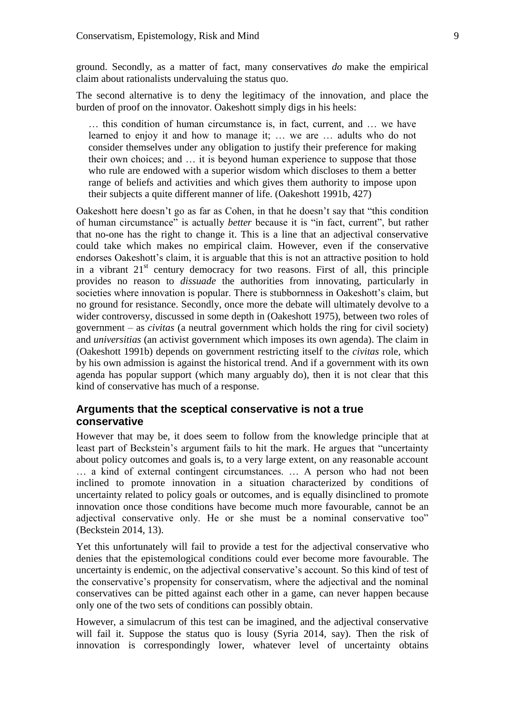ground. Secondly, as a matter of fact, many conservatives *do* make the empirical claim about rationalists undervaluing the status quo.

The second alternative is to deny the legitimacy of the innovation, and place the burden of proof on the innovator. Oakeshott simply digs in his heels:

… this condition of human circumstance is, in fact, current, and … we have learned to enjoy it and how to manage it; … we are … adults who do not consider themselves under any obligation to justify their preference for making their own choices; and … it is beyond human experience to suppose that those who rule are endowed with a superior wisdom which discloses to them a better range of beliefs and activities and which gives them authority to impose upon their subjects a quite different manner of life. (Oakeshott 1991b, 427)

Oakeshott here doesn't go as far as Cohen, in that he doesn't say that "this condition of human circumstance" is actually *better* because it is "in fact, current", but rather that no-one has the right to change it. This is a line that an adjectival conservative could take which makes no empirical claim. However, even if the conservative endorses Oakeshott's claim, it is arguable that this is not an attractive position to hold in a vibrant  $21<sup>st</sup>$  century democracy for two reasons. First of all, this principle provides no reason to *dissuade* the authorities from innovating, particularly in societies where innovation is popular. There is stubbornness in Oakeshott's claim, but no ground for resistance. Secondly, once more the debate will ultimately devolve to a wider controversy, discussed in some depth in (Oakeshott 1975), between two roles of government – as *civitas* (a neutral government which holds the ring for civil society) and *universitias* (an activist government which imposes its own agenda). The claim in (Oakeshott 1991b) depends on government restricting itself to the *civitas* role, which by his own admission is against the historical trend. And if a government with its own agenda has popular support (which many arguably do), then it is not clear that this kind of conservative has much of a response.

### **Arguments that the sceptical conservative is not a true conservative**

However that may be, it does seem to follow from the knowledge principle that at least part of Beckstein's argument fails to hit the mark. He argues that "uncertainty about policy outcomes and goals is, to a very large extent, on any reasonable account … a kind of external contingent circumstances. … A person who had not been inclined to promote innovation in a situation characterized by conditions of uncertainty related to policy goals or outcomes, and is equally disinclined to promote innovation once those conditions have become much more favourable, cannot be an adjectival conservative only. He or she must be a nominal conservative too" (Beckstein 2014, 13).

Yet this unfortunately will fail to provide a test for the adjectival conservative who denies that the epistemological conditions could ever become more favourable. The uncertainty is endemic, on the adjectival conservative's account. So this kind of test of the conservative's propensity for conservatism, where the adjectival and the nominal conservatives can be pitted against each other in a game, can never happen because only one of the two sets of conditions can possibly obtain.

However, a simulacrum of this test can be imagined, and the adjectival conservative will fail it. Suppose the status quo is lousy (Syria 2014, say). Then the risk of innovation is correspondingly lower, whatever level of uncertainty obtains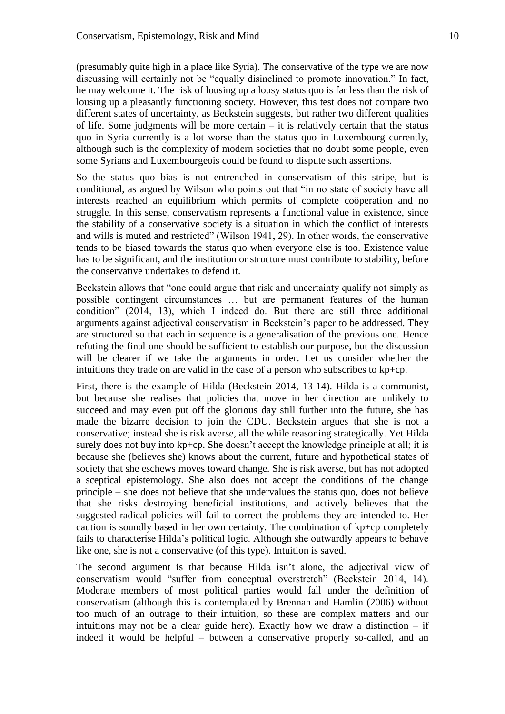(presumably quite high in a place like Syria). The conservative of the type we are now discussing will certainly not be "equally disinclined to promote innovation." In fact, he may welcome it. The risk of lousing up a lousy status quo is far less than the risk of lousing up a pleasantly functioning society. However, this test does not compare two different states of uncertainty, as Beckstein suggests, but rather two different qualities of life. Some judgments will be more certain – it is relatively certain that the status quo in Syria currently is a lot worse than the status quo in Luxembourg currently, although such is the complexity of modern societies that no doubt some people, even some Syrians and Luxembourgeois could be found to dispute such assertions.

So the status quo bias is not entrenched in conservatism of this stripe, but is conditional, as argued by Wilson who points out that "in no state of society have all interests reached an equilibrium which permits of complete coöperation and no struggle. In this sense, conservatism represents a functional value in existence, since the stability of a conservative society is a situation in which the conflict of interests and wills is muted and restricted" (Wilson 1941, 29). In other words, the conservative tends to be biased towards the status quo when everyone else is too. Existence value has to be significant, and the institution or structure must contribute to stability, before the conservative undertakes to defend it.

Beckstein allows that "one could argue that risk and uncertainty qualify not simply as possible contingent circumstances … but are permanent features of the human condition" (2014, 13), which I indeed do. But there are still three additional arguments against adjectival conservatism in Beckstein's paper to be addressed. They are structured so that each in sequence is a generalisation of the previous one. Hence refuting the final one should be sufficient to establish our purpose, but the discussion will be clearer if we take the arguments in order. Let us consider whether the intuitions they trade on are valid in the case of a person who subscribes to kp+cp.

First, there is the example of Hilda (Beckstein 2014, 13-14). Hilda is a communist, but because she realises that policies that move in her direction are unlikely to succeed and may even put off the glorious day still further into the future, she has made the bizarre decision to join the CDU. Beckstein argues that she is not a conservative; instead she is risk averse, all the while reasoning strategically. Yet Hilda surely does not buy into kp+cp. She doesn't accept the knowledge principle at all; it is because she (believes she) knows about the current, future and hypothetical states of society that she eschews moves toward change. She is risk averse, but has not adopted a sceptical epistemology. She also does not accept the conditions of the change principle – she does not believe that she undervalues the status quo, does not believe that she risks destroying beneficial institutions, and actively believes that the suggested radical policies will fail to correct the problems they are intended to. Her caution is soundly based in her own certainty. The combination of kp+cp completely fails to characterise Hilda's political logic. Although she outwardly appears to behave like one, she is not a conservative (of this type). Intuition is saved.

The second argument is that because Hilda isn't alone, the adjectival view of conservatism would "suffer from conceptual overstretch" (Beckstein 2014, 14). Moderate members of most political parties would fall under the definition of conservatism (although this is contemplated by Brennan and Hamlin (2006) without too much of an outrage to their intuition, so these are complex matters and our intuitions may not be a clear guide here). Exactly how we draw a distinction  $-$  if indeed it would be helpful – between a conservative properly so-called, and an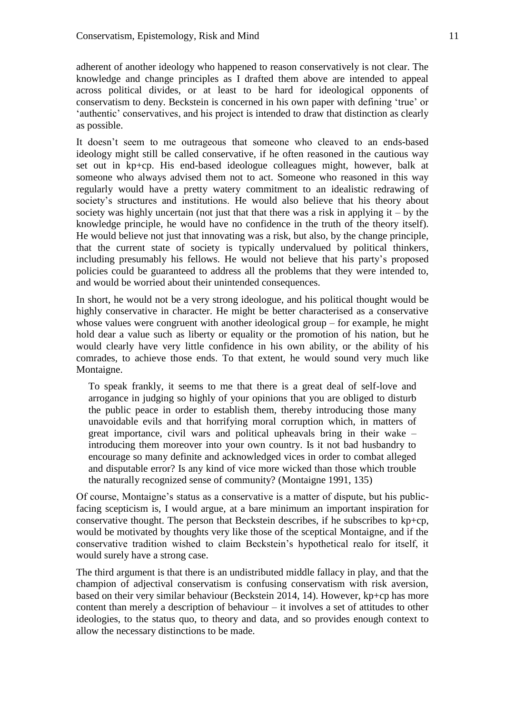adherent of another ideology who happened to reason conservatively is not clear. The knowledge and change principles as I drafted them above are intended to appeal across political divides, or at least to be hard for ideological opponents of conservatism to deny. Beckstein is concerned in his own paper with defining 'true' or 'authentic' conservatives, and his project is intended to draw that distinction as clearly as possible.

It doesn't seem to me outrageous that someone who cleaved to an ends-based ideology might still be called conservative, if he often reasoned in the cautious way set out in kp+cp. His end-based ideologue colleagues might, however, balk at someone who always advised them not to act. Someone who reasoned in this way regularly would have a pretty watery commitment to an idealistic redrawing of society's structures and institutions. He would also believe that his theory about society was highly uncertain (not just that that there was a risk in applying it  $-$  by the knowledge principle, he would have no confidence in the truth of the theory itself). He would believe not just that innovating was a risk, but also, by the change principle, that the current state of society is typically undervalued by political thinkers, including presumably his fellows. He would not believe that his party's proposed policies could be guaranteed to address all the problems that they were intended to, and would be worried about their unintended consequences.

In short, he would not be a very strong ideologue, and his political thought would be highly conservative in character. He might be better characterised as a conservative whose values were congruent with another ideological group – for example, he might hold dear a value such as liberty or equality or the promotion of his nation, but he would clearly have very little confidence in his own ability, or the ability of his comrades, to achieve those ends. To that extent, he would sound very much like Montaigne.

To speak frankly, it seems to me that there is a great deal of self-love and arrogance in judging so highly of your opinions that you are obliged to disturb the public peace in order to establish them, thereby introducing those many unavoidable evils and that horrifying moral corruption which, in matters of great importance, civil wars and political upheavals bring in their wake – introducing them moreover into your own country. Is it not bad husbandry to encourage so many definite and acknowledged vices in order to combat alleged and disputable error? Is any kind of vice more wicked than those which trouble the naturally recognized sense of community? (Montaigne 1991, 135)

Of course, Montaigne's status as a conservative is a matter of dispute, but his publicfacing scepticism is, I would argue, at a bare minimum an important inspiration for conservative thought. The person that Beckstein describes, if he subscribes to kp+cp, would be motivated by thoughts very like those of the sceptical Montaigne, and if the conservative tradition wished to claim Beckstein's hypothetical realo for itself, it would surely have a strong case.

The third argument is that there is an undistributed middle fallacy in play, and that the champion of adjectival conservatism is confusing conservatism with risk aversion, based on their very similar behaviour (Beckstein 2014, 14). However, kp+cp has more content than merely a description of behaviour – it involves a set of attitudes to other ideologies, to the status quo, to theory and data, and so provides enough context to allow the necessary distinctions to be made.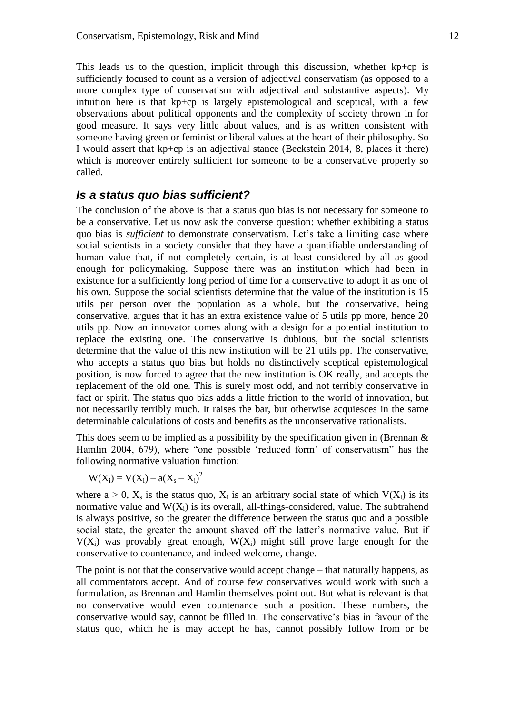This leads us to the question, implicit through this discussion, whether kp+cp is sufficiently focused to count as a version of adjectival conservatism (as opposed to a more complex type of conservatism with adjectival and substantive aspects). My intuition here is that kp+cp is largely epistemological and sceptical, with a few observations about political opponents and the complexity of society thrown in for good measure. It says very little about values, and is as written consistent with someone having green or feminist or liberal values at the heart of their philosophy. So I would assert that kp+cp is an adjectival stance (Beckstein 2014, 8, places it there) which is moreover entirely sufficient for someone to be a conservative properly so called.

### *Is a status quo bias sufficient?*

The conclusion of the above is that a status quo bias is not necessary for someone to be a conservative. Let us now ask the converse question: whether exhibiting a status quo bias is *sufficient* to demonstrate conservatism. Let's take a limiting case where social scientists in a society consider that they have a quantifiable understanding of human value that, if not completely certain, is at least considered by all as good enough for policymaking. Suppose there was an institution which had been in existence for a sufficiently long period of time for a conservative to adopt it as one of his own. Suppose the social scientists determine that the value of the institution is 15 utils per person over the population as a whole, but the conservative, being conservative, argues that it has an extra existence value of 5 utils pp more, hence 20 utils pp. Now an innovator comes along with a design for a potential institution to replace the existing one. The conservative is dubious, but the social scientists determine that the value of this new institution will be 21 utils pp. The conservative, who accepts a status quo bias but holds no distinctively sceptical epistemological position, is now forced to agree that the new institution is OK really, and accepts the replacement of the old one. This is surely most odd, and not terribly conservative in fact or spirit. The status quo bias adds a little friction to the world of innovation, but not necessarily terribly much. It raises the bar, but otherwise acquiesces in the same determinable calculations of costs and benefits as the unconservative rationalists.

This does seem to be implied as a possibility by the specification given in (Brennan  $\&$ Hamlin 2004, 679), where "one possible 'reduced form' of conservatism" has the following normative valuation function:

 $W(X_i) = V(X_i) - a(X_s - X_i)^2$ 

where  $a > 0$ ,  $X_s$  is the status quo,  $X_i$  is an arbitrary social state of which  $V(X_i)$  is its normative value and  $W(X_i)$  is its overall, all-things-considered, value. The subtrahend is always positive, so the greater the difference between the status quo and a possible social state, the greater the amount shaved off the latter's normative value. But if  $V(X_i)$  was provably great enough,  $W(X_i)$  might still prove large enough for the conservative to countenance, and indeed welcome, change.

The point is not that the conservative would accept change – that naturally happens, as all commentators accept. And of course few conservatives would work with such a formulation, as Brennan and Hamlin themselves point out. But what is relevant is that no conservative would even countenance such a position. These numbers, the conservative would say, cannot be filled in. The conservative's bias in favour of the status quo, which he is may accept he has, cannot possibly follow from or be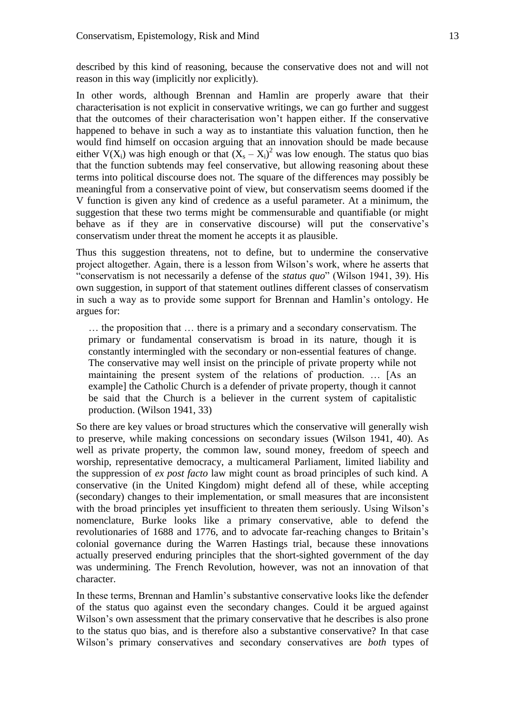described by this kind of reasoning, because the conservative does not and will not reason in this way (implicitly nor explicitly).

In other words, although Brennan and Hamlin are properly aware that their characterisation is not explicit in conservative writings, we can go further and suggest that the outcomes of their characterisation won't happen either. If the conservative happened to behave in such a way as to instantiate this valuation function, then he would find himself on occasion arguing that an innovation should be made because either  $V(X_i)$  was high enough or that  $(X_s - X_i)^2$  was low enough. The status quo bias that the function subtends may feel conservative, but allowing reasoning about these terms into political discourse does not. The square of the differences may possibly be meaningful from a conservative point of view, but conservatism seems doomed if the V function is given any kind of credence as a useful parameter. At a minimum, the suggestion that these two terms might be commensurable and quantifiable (or might behave as if they are in conservative discourse) will put the conservative's conservatism under threat the moment he accepts it as plausible.

Thus this suggestion threatens, not to define, but to undermine the conservative project altogether. Again, there is a lesson from Wilson's work, where he asserts that "conservatism is not necessarily a defense of the *status quo*" (Wilson 1941, 39). His own suggestion, in support of that statement outlines different classes of conservatism in such a way as to provide some support for Brennan and Hamlin's ontology. He argues for:

… the proposition that … there is a primary and a secondary conservatism. The primary or fundamental conservatism is broad in its nature, though it is constantly intermingled with the secondary or non-essential features of change. The conservative may well insist on the principle of private property while not maintaining the present system of the relations of production. … [As an example] the Catholic Church is a defender of private property, though it cannot be said that the Church is a believer in the current system of capitalistic production. (Wilson 1941, 33)

So there are key values or broad structures which the conservative will generally wish to preserve, while making concessions on secondary issues (Wilson 1941, 40). As well as private property, the common law, sound money, freedom of speech and worship, representative democracy, a multicameral Parliament, limited liability and the suppression of *ex post facto* law might count as broad principles of such kind. A conservative (in the United Kingdom) might defend all of these, while accepting (secondary) changes to their implementation, or small measures that are inconsistent with the broad principles yet insufficient to threaten them seriously. Using Wilson's nomenclature, Burke looks like a primary conservative, able to defend the revolutionaries of 1688 and 1776, and to advocate far-reaching changes to Britain's colonial governance during the Warren Hastings trial, because these innovations actually preserved enduring principles that the short-sighted government of the day was undermining. The French Revolution, however, was not an innovation of that character.

In these terms, Brennan and Hamlin's substantive conservative looks like the defender of the status quo against even the secondary changes. Could it be argued against Wilson's own assessment that the primary conservative that he describes is also prone to the status quo bias, and is therefore also a substantive conservative? In that case Wilson's primary conservatives and secondary conservatives are *both* types of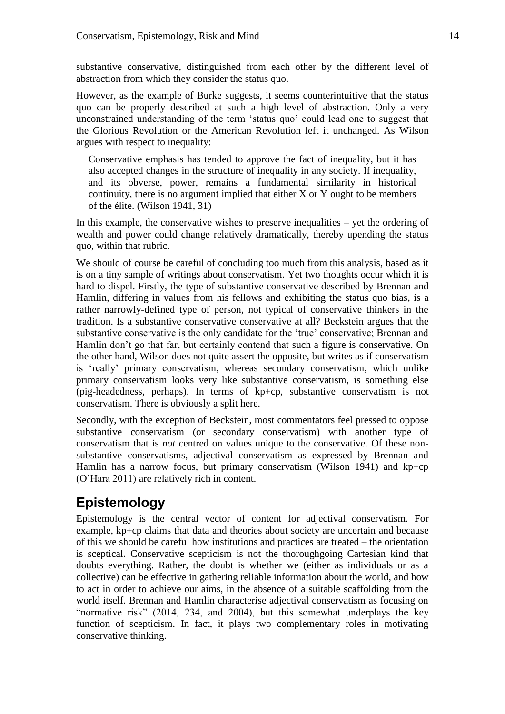substantive conservative, distinguished from each other by the different level of abstraction from which they consider the status quo.

However, as the example of Burke suggests, it seems counterintuitive that the status quo can be properly described at such a high level of abstraction. Only a very unconstrained understanding of the term 'status quo' could lead one to suggest that the Glorious Revolution or the American Revolution left it unchanged. As Wilson argues with respect to inequality:

Conservative emphasis has tended to approve the fact of inequality, but it has also accepted changes in the structure of inequality in any society. If inequality, and its obverse, power, remains a fundamental similarity in historical continuity, there is no argument implied that either X or Y ought to be members of the élite. (Wilson 1941, 31)

In this example, the conservative wishes to preserve inequalities – yet the ordering of wealth and power could change relatively dramatically, thereby upending the status quo, within that rubric.

We should of course be careful of concluding too much from this analysis, based as it is on a tiny sample of writings about conservatism. Yet two thoughts occur which it is hard to dispel. Firstly, the type of substantive conservative described by Brennan and Hamlin, differing in values from his fellows and exhibiting the status quo bias, is a rather narrowly-defined type of person, not typical of conservative thinkers in the tradition. Is a substantive conservative conservative at all? Beckstein argues that the substantive conservative is the only candidate for the 'true' conservative; Brennan and Hamlin don't go that far, but certainly contend that such a figure is conservative. On the other hand, Wilson does not quite assert the opposite, but writes as if conservatism is 'really' primary conservatism, whereas secondary conservatism, which unlike primary conservatism looks very like substantive conservatism, is something else (pig-headedness, perhaps). In terms of kp+cp, substantive conservatism is not conservatism. There is obviously a split here.

Secondly, with the exception of Beckstein, most commentators feel pressed to oppose substantive conservatism (or secondary conservatism) with another type of conservatism that is *not* centred on values unique to the conservative. Of these nonsubstantive conservatisms, adjectival conservatism as expressed by Brennan and Hamlin has a narrow focus, but primary conservatism (Wilson 1941) and kp+cp (O'Hara 2011) are relatively rich in content.

## **Epistemology**

Epistemology is the central vector of content for adjectival conservatism. For example, kp+cp claims that data and theories about society are uncertain and because of this we should be careful how institutions and practices are treated – the orientation is sceptical. Conservative scepticism is not the thoroughgoing Cartesian kind that doubts everything. Rather, the doubt is whether we (either as individuals or as a collective) can be effective in gathering reliable information about the world, and how to act in order to achieve our aims, in the absence of a suitable scaffolding from the world itself. Brennan and Hamlin characterise adjectival conservatism as focusing on "normative risk" (2014, 234, and 2004), but this somewhat underplays the key function of scepticism. In fact, it plays two complementary roles in motivating conservative thinking.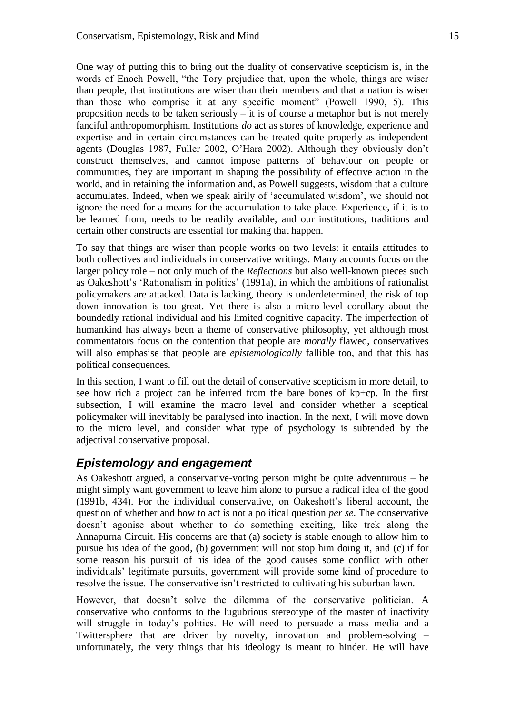One way of putting this to bring out the duality of conservative scepticism is, in the words of Enoch Powell, "the Tory prejudice that, upon the whole, things are wiser than people, that institutions are wiser than their members and that a nation is wiser than those who comprise it at any specific moment" (Powell 1990, 5). This proposition needs to be taken seriously – it is of course a metaphor but is not merely fanciful anthropomorphism. Institutions *do* act as stores of knowledge, experience and expertise and in certain circumstances can be treated quite properly as independent agents (Douglas 1987, Fuller 2002, O'Hara 2002). Although they obviously don't construct themselves, and cannot impose patterns of behaviour on people or communities, they are important in shaping the possibility of effective action in the world, and in retaining the information and, as Powell suggests, wisdom that a culture accumulates. Indeed, when we speak airily of 'accumulated wisdom', we should not ignore the need for a means for the accumulation to take place. Experience, if it is to be learned from, needs to be readily available, and our institutions, traditions and certain other constructs are essential for making that happen.

To say that things are wiser than people works on two levels: it entails attitudes to both collectives and individuals in conservative writings. Many accounts focus on the larger policy role – not only much of the *Reflections* but also well-known pieces such as Oakeshott's 'Rationalism in politics' (1991a), in which the ambitions of rationalist policymakers are attacked. Data is lacking, theory is underdetermined, the risk of top down innovation is too great. Yet there is also a micro-level corollary about the boundedly rational individual and his limited cognitive capacity. The imperfection of humankind has always been a theme of conservative philosophy, yet although most commentators focus on the contention that people are *morally* flawed, conservatives will also emphasise that people are *epistemologically* fallible too, and that this has political consequences.

In this section, I want to fill out the detail of conservative scepticism in more detail, to see how rich a project can be inferred from the bare bones of kp+cp. In the first subsection, I will examine the macro level and consider whether a sceptical policymaker will inevitably be paralysed into inaction. In the next, I will move down to the micro level, and consider what type of psychology is subtended by the adjectival conservative proposal.

### *Epistemology and engagement*

As Oakeshott argued, a conservative-voting person might be quite adventurous – he might simply want government to leave him alone to pursue a radical idea of the good (1991b, 434). For the individual conservative, on Oakeshott's liberal account, the question of whether and how to act is not a political question *per se*. The conservative doesn't agonise about whether to do something exciting, like trek along the Annapurna Circuit. His concerns are that (a) society is stable enough to allow him to pursue his idea of the good, (b) government will not stop him doing it, and (c) if for some reason his pursuit of his idea of the good causes some conflict with other individuals' legitimate pursuits, government will provide some kind of procedure to resolve the issue. The conservative isn't restricted to cultivating his suburban lawn.

However, that doesn't solve the dilemma of the conservative politician. A conservative who conforms to the lugubrious stereotype of the master of inactivity will struggle in today's politics. He will need to persuade a mass media and a Twittersphere that are driven by novelty, innovation and problem-solving – unfortunately, the very things that his ideology is meant to hinder. He will have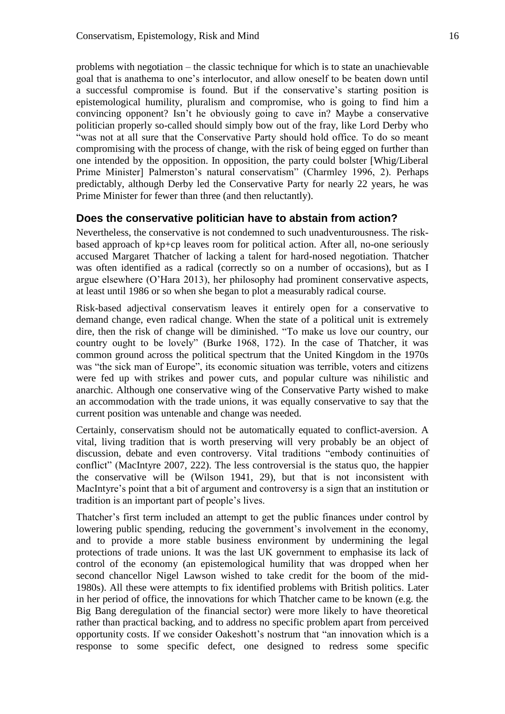problems with negotiation – the classic technique for which is to state an unachievable goal that is anathema to one's interlocutor, and allow oneself to be beaten down until a successful compromise is found. But if the conservative's starting position is epistemological humility, pluralism and compromise, who is going to find him a convincing opponent? Isn't he obviously going to cave in? Maybe a conservative politician properly so-called should simply bow out of the fray, like Lord Derby who "was not at all sure that the Conservative Party should hold office. To do so meant compromising with the process of change, with the risk of being egged on further than one intended by the opposition. In opposition, the party could bolster [Whig/Liberal Prime Minister] Palmerston's natural conservatism" (Charmley 1996, 2). Perhaps predictably, although Derby led the Conservative Party for nearly 22 years, he was Prime Minister for fewer than three (and then reluctantly).

### **Does the conservative politician have to abstain from action?**

Nevertheless, the conservative is not condemned to such unadventurousness. The riskbased approach of kp+cp leaves room for political action. After all, no-one seriously accused Margaret Thatcher of lacking a talent for hard-nosed negotiation. Thatcher was often identified as a radical (correctly so on a number of occasions), but as I argue elsewhere (O'Hara 2013), her philosophy had prominent conservative aspects, at least until 1986 or so when she began to plot a measurably radical course.

Risk-based adjectival conservatism leaves it entirely open for a conservative to demand change, even radical change. When the state of a political unit is extremely dire, then the risk of change will be diminished. "To make us love our country, our country ought to be lovely" (Burke 1968, 172). In the case of Thatcher, it was common ground across the political spectrum that the United Kingdom in the 1970s was "the sick man of Europe", its economic situation was terrible, voters and citizens were fed up with strikes and power cuts, and popular culture was nihilistic and anarchic. Although one conservative wing of the Conservative Party wished to make an accommodation with the trade unions, it was equally conservative to say that the current position was untenable and change was needed.

Certainly, conservatism should not be automatically equated to conflict-aversion. A vital, living tradition that is worth preserving will very probably be an object of discussion, debate and even controversy. Vital traditions "embody continuities of conflict" (MacIntyre 2007, 222). The less controversial is the status quo, the happier the conservative will be (Wilson 1941, 29), but that is not inconsistent with MacIntyre's point that a bit of argument and controversy is a sign that an institution or tradition is an important part of people's lives.

Thatcher's first term included an attempt to get the public finances under control by lowering public spending, reducing the government's involvement in the economy, and to provide a more stable business environment by undermining the legal protections of trade unions. It was the last UK government to emphasise its lack of control of the economy (an epistemological humility that was dropped when her second chancellor Nigel Lawson wished to take credit for the boom of the mid-1980s). All these were attempts to fix identified problems with British politics. Later in her period of office, the innovations for which Thatcher came to be known (e.g. the Big Bang deregulation of the financial sector) were more likely to have theoretical rather than practical backing, and to address no specific problem apart from perceived opportunity costs. If we consider Oakeshott's nostrum that "an innovation which is a response to some specific defect, one designed to redress some specific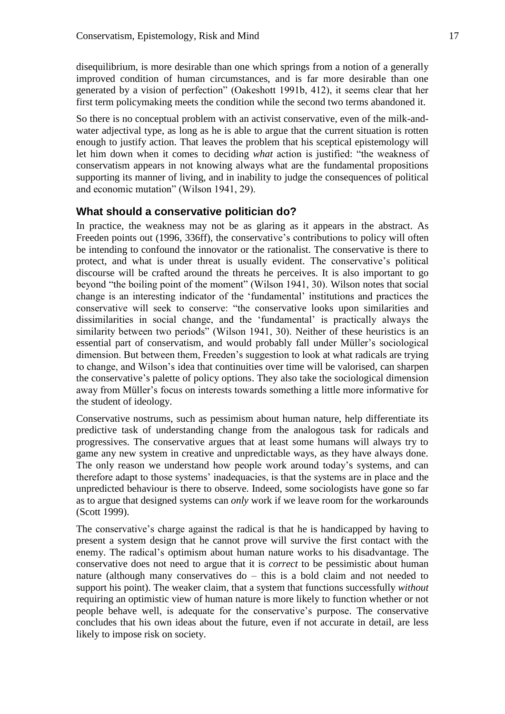disequilibrium, is more desirable than one which springs from a notion of a generally improved condition of human circumstances, and is far more desirable than one generated by a vision of perfection" (Oakeshott 1991b, 412), it seems clear that her first term policymaking meets the condition while the second two terms abandoned it.

So there is no conceptual problem with an activist conservative, even of the milk-andwater adjectival type, as long as he is able to argue that the current situation is rotten enough to justify action. That leaves the problem that his sceptical epistemology will let him down when it comes to deciding *what* action is justified: "the weakness of conservatism appears in not knowing always what are the fundamental propositions supporting its manner of living, and in inability to judge the consequences of political and economic mutation" (Wilson 1941, 29).

#### **What should a conservative politician do?**

In practice, the weakness may not be as glaring as it appears in the abstract. As Freeden points out (1996, 336ff), the conservative's contributions to policy will often be intending to confound the innovator or the rationalist. The conservative is there to protect, and what is under threat is usually evident. The conservative's political discourse will be crafted around the threats he perceives. It is also important to go beyond "the boiling point of the moment" (Wilson 1941, 30). Wilson notes that social change is an interesting indicator of the 'fundamental' institutions and practices the conservative will seek to conserve: "the conservative looks upon similarities and dissimilarities in social change, and the 'fundamental' is practically always the similarity between two periods" (Wilson 1941, 30). Neither of these heuristics is an essential part of conservatism, and would probably fall under Müller's sociological dimension. But between them, Freeden's suggestion to look at what radicals are trying to change, and Wilson's idea that continuities over time will be valorised, can sharpen the conservative's palette of policy options. They also take the sociological dimension away from Müller's focus on interests towards something a little more informative for the student of ideology.

Conservative nostrums, such as pessimism about human nature, help differentiate its predictive task of understanding change from the analogous task for radicals and progressives. The conservative argues that at least some humans will always try to game any new system in creative and unpredictable ways, as they have always done. The only reason we understand how people work around today's systems, and can therefore adapt to those systems' inadequacies, is that the systems are in place and the unpredicted behaviour is there to observe. Indeed, some sociologists have gone so far as to argue that designed systems can *only* work if we leave room for the workarounds (Scott 1999).

The conservative's charge against the radical is that he is handicapped by having to present a system design that he cannot prove will survive the first contact with the enemy. The radical's optimism about human nature works to his disadvantage. The conservative does not need to argue that it is *correct* to be pessimistic about human nature (although many conservatives do – this is a bold claim and not needed to support his point). The weaker claim, that a system that functions successfully *without* requiring an optimistic view of human nature is more likely to function whether or not people behave well, is adequate for the conservative's purpose. The conservative concludes that his own ideas about the future, even if not accurate in detail, are less likely to impose risk on society.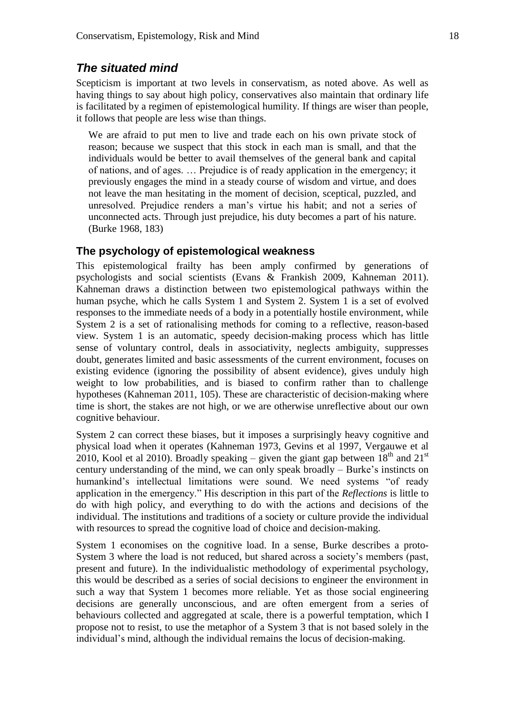### *The situated mind*

Scepticism is important at two levels in conservatism, as noted above. As well as having things to say about high policy, conservatives also maintain that ordinary life is facilitated by a regimen of epistemological humility. If things are wiser than people, it follows that people are less wise than things.

We are afraid to put men to live and trade each on his own private stock of reason; because we suspect that this stock in each man is small, and that the individuals would be better to avail themselves of the general bank and capital of nations, and of ages. … Prejudice is of ready application in the emergency; it previously engages the mind in a steady course of wisdom and virtue, and does not leave the man hesitating in the moment of decision, sceptical, puzzled, and unresolved. Prejudice renders a man's virtue his habit; and not a series of unconnected acts. Through just prejudice, his duty becomes a part of his nature. (Burke 1968, 183)

#### **The psychology of epistemological weakness**

This epistemological frailty has been amply confirmed by generations of psychologists and social scientists (Evans & Frankish 2009, Kahneman 2011). Kahneman draws a distinction between two epistemological pathways within the human psyche, which he calls System 1 and System 2. System 1 is a set of evolved responses to the immediate needs of a body in a potentially hostile environment, while System 2 is a set of rationalising methods for coming to a reflective, reason-based view. System 1 is an automatic, speedy decision-making process which has little sense of voluntary control, deals in associativity, neglects ambiguity, suppresses doubt, generates limited and basic assessments of the current environment, focuses on existing evidence (ignoring the possibility of absent evidence), gives unduly high weight to low probabilities, and is biased to confirm rather than to challenge hypotheses (Kahneman 2011, 105). These are characteristic of decision-making where time is short, the stakes are not high, or we are otherwise unreflective about our own cognitive behaviour.

System 2 can correct these biases, but it imposes a surprisingly heavy cognitive and physical load when it operates (Kahneman 1973, Gevins et al 1997, Vergauwe et al 2010, Kool et al 2010). Broadly speaking – given the giant gap between  $18<sup>th</sup>$  and  $21<sup>st</sup>$ century understanding of the mind, we can only speak broadly – Burke's instincts on humankind's intellectual limitations were sound. We need systems "of ready application in the emergency." His description in this part of the *Reflections* is little to do with high policy, and everything to do with the actions and decisions of the individual. The institutions and traditions of a society or culture provide the individual with resources to spread the cognitive load of choice and decision-making.

System 1 economises on the cognitive load. In a sense, Burke describes a proto-System 3 where the load is not reduced, but shared across a society's members (past, present and future). In the individualistic methodology of experimental psychology, this would be described as a series of social decisions to engineer the environment in such a way that System 1 becomes more reliable. Yet as those social engineering decisions are generally unconscious, and are often emergent from a series of behaviours collected and aggregated at scale, there is a powerful temptation, which I propose not to resist, to use the metaphor of a System 3 that is not based solely in the individual's mind, although the individual remains the locus of decision-making.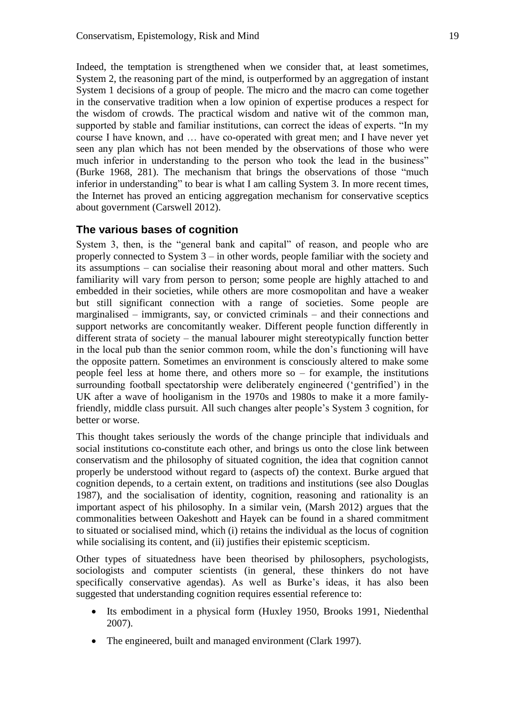Indeed, the temptation is strengthened when we consider that, at least sometimes, System 2, the reasoning part of the mind, is outperformed by an aggregation of instant System 1 decisions of a group of people. The micro and the macro can come together in the conservative tradition when a low opinion of expertise produces a respect for the wisdom of crowds. The practical wisdom and native wit of the common man, supported by stable and familiar institutions, can correct the ideas of experts. "In my course I have known, and … have co-operated with great men; and I have never yet seen any plan which has not been mended by the observations of those who were much inferior in understanding to the person who took the lead in the business" (Burke 1968, 281). The mechanism that brings the observations of those "much inferior in understanding" to bear is what I am calling System 3. In more recent times, the Internet has proved an enticing aggregation mechanism for conservative sceptics about government (Carswell 2012).

### **The various bases of cognition**

System 3, then, is the "general bank and capital" of reason, and people who are properly connected to System 3 – in other words, people familiar with the society and its assumptions – can socialise their reasoning about moral and other matters. Such familiarity will vary from person to person; some people are highly attached to and embedded in their societies, while others are more cosmopolitan and have a weaker but still significant connection with a range of societies. Some people are marginalised – immigrants, say, or convicted criminals – and their connections and support networks are concomitantly weaker. Different people function differently in different strata of society – the manual labourer might stereotypically function better in the local pub than the senior common room, while the don's functioning will have the opposite pattern. Sometimes an environment is consciously altered to make some people feel less at home there, and others more so – for example, the institutions surrounding football spectatorship were deliberately engineered ('gentrified') in the UK after a wave of hooliganism in the 1970s and 1980s to make it a more familyfriendly, middle class pursuit. All such changes alter people's System 3 cognition, for better or worse.

This thought takes seriously the words of the change principle that individuals and social institutions co-constitute each other, and brings us onto the close link between conservatism and the philosophy of situated cognition, the idea that cognition cannot properly be understood without regard to (aspects of) the context. Burke argued that cognition depends, to a certain extent, on traditions and institutions (see also Douglas 1987), and the socialisation of identity, cognition, reasoning and rationality is an important aspect of his philosophy. In a similar vein, (Marsh 2012) argues that the commonalities between Oakeshott and Hayek can be found in a shared commitment to situated or socialised mind, which (i) retains the individual as the locus of cognition while socialising its content, and (ii) justifies their epistemic scepticism.

Other types of situatedness have been theorised by philosophers, psychologists, sociologists and computer scientists (in general, these thinkers do not have specifically conservative agendas). As well as Burke's ideas, it has also been suggested that understanding cognition requires essential reference to:

- Its embodiment in a physical form (Huxley 1950, Brooks 1991, Niedenthal 2007).
- The engineered, built and managed environment (Clark 1997).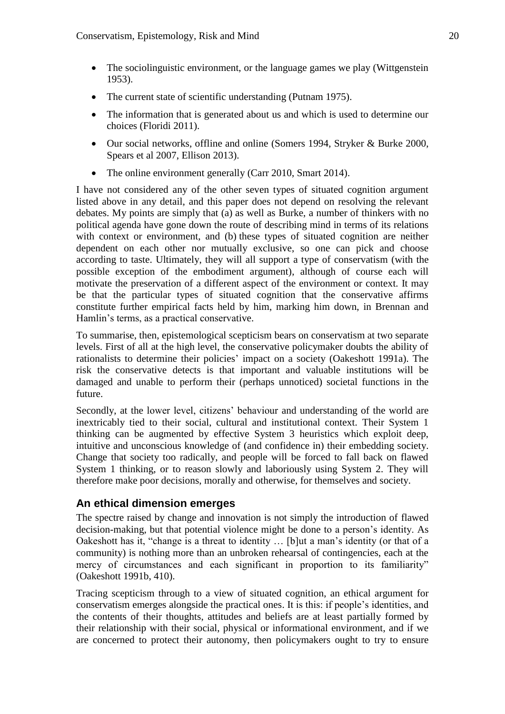- The sociolinguistic environment, or the language games we play (Wittgenstein 1953).
- The current state of scientific understanding (Putnam 1975).
- The information that is generated about us and which is used to determine our choices (Floridi 2011).
- Our social networks, offline and online (Somers 1994, Stryker & Burke 2000, Spears et al 2007, Ellison 2013).
- The online environment generally (Carr 2010, Smart 2014).

I have not considered any of the other seven types of situated cognition argument listed above in any detail, and this paper does not depend on resolving the relevant debates. My points are simply that (a) as well as Burke, a number of thinkers with no political agenda have gone down the route of describing mind in terms of its relations with context or environment, and (b) these types of situated cognition are neither dependent on each other nor mutually exclusive, so one can pick and choose according to taste. Ultimately, they will all support a type of conservatism (with the possible exception of the embodiment argument), although of course each will motivate the preservation of a different aspect of the environment or context. It may be that the particular types of situated cognition that the conservative affirms constitute further empirical facts held by him, marking him down, in Brennan and Hamlin's terms, as a practical conservative.

To summarise, then, epistemological scepticism bears on conservatism at two separate levels. First of all at the high level, the conservative policymaker doubts the ability of rationalists to determine their policies' impact on a society (Oakeshott 1991a). The risk the conservative detects is that important and valuable institutions will be damaged and unable to perform their (perhaps unnoticed) societal functions in the future.

Secondly, at the lower level, citizens' behaviour and understanding of the world are inextricably tied to their social, cultural and institutional context. Their System 1 thinking can be augmented by effective System 3 heuristics which exploit deep, intuitive and unconscious knowledge of (and confidence in) their embedding society. Change that society too radically, and people will be forced to fall back on flawed System 1 thinking, or to reason slowly and laboriously using System 2. They will therefore make poor decisions, morally and otherwise, for themselves and society.

### **An ethical dimension emerges**

The spectre raised by change and innovation is not simply the introduction of flawed decision-making, but that potential violence might be done to a person's identity. As Oakeshott has it, "change is a threat to identity … [b]ut a man's identity (or that of a community) is nothing more than an unbroken rehearsal of contingencies, each at the mercy of circumstances and each significant in proportion to its familiarity" (Oakeshott 1991b, 410).

Tracing scepticism through to a view of situated cognition, an ethical argument for conservatism emerges alongside the practical ones. It is this: if people's identities, and the contents of their thoughts, attitudes and beliefs are at least partially formed by their relationship with their social, physical or informational environment, and if we are concerned to protect their autonomy, then policymakers ought to try to ensure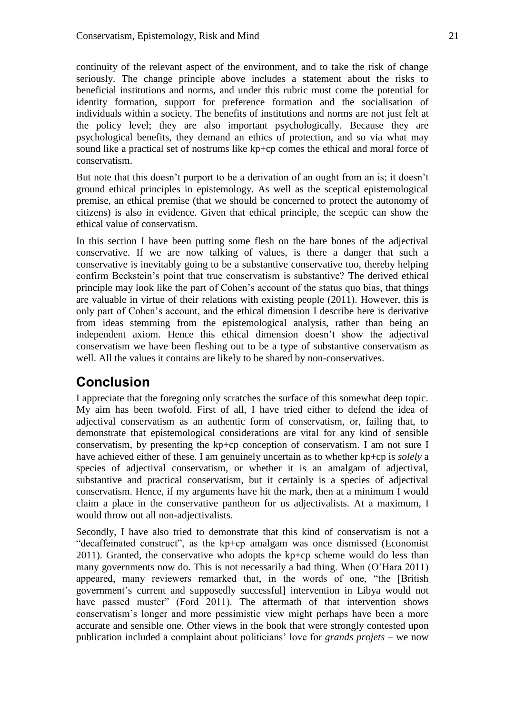continuity of the relevant aspect of the environment, and to take the risk of change seriously. The change principle above includes a statement about the risks to beneficial institutions and norms, and under this rubric must come the potential for identity formation, support for preference formation and the socialisation of individuals within a society. The benefits of institutions and norms are not just felt at the policy level; they are also important psychologically. Because they are psychological benefits, they demand an ethics of protection, and so via what may sound like a practical set of nostrums like kp+cp comes the ethical and moral force of conservatism.

But note that this doesn't purport to be a derivation of an ought from an is; it doesn't ground ethical principles in epistemology. As well as the sceptical epistemological premise, an ethical premise (that we should be concerned to protect the autonomy of citizens) is also in evidence. Given that ethical principle, the sceptic can show the ethical value of conservatism.

In this section I have been putting some flesh on the bare bones of the adjectival conservative. If we are now talking of values, is there a danger that such a conservative is inevitably going to be a substantive conservative too, thereby helping confirm Beckstein's point that true conservatism is substantive? The derived ethical principle may look like the part of Cohen's account of the status quo bias, that things are valuable in virtue of their relations with existing people (2011). However, this is only part of Cohen's account, and the ethical dimension I describe here is derivative from ideas stemming from the epistemological analysis, rather than being an independent axiom. Hence this ethical dimension doesn't show the adjectival conservatism we have been fleshing out to be a type of substantive conservatism as well. All the values it contains are likely to be shared by non-conservatives.

# **Conclusion**

I appreciate that the foregoing only scratches the surface of this somewhat deep topic. My aim has been twofold. First of all, I have tried either to defend the idea of adjectival conservatism as an authentic form of conservatism, or, failing that, to demonstrate that epistemological considerations are vital for any kind of sensible conservatism, by presenting the kp+cp conception of conservatism. I am not sure I have achieved either of these. I am genuinely uncertain as to whether kp+cp is *solely* a species of adjectival conservatism, or whether it is an amalgam of adjectival, substantive and practical conservatism, but it certainly is a species of adjectival conservatism. Hence, if my arguments have hit the mark, then at a minimum I would claim a place in the conservative pantheon for us adjectivalists. At a maximum, I would throw out all non-adjectivalists.

Secondly, I have also tried to demonstrate that this kind of conservatism is not a "decaffeinated construct", as the kp+cp amalgam was once dismissed (Economist 2011). Granted, the conservative who adopts the kp+cp scheme would do less than many governments now do. This is not necessarily a bad thing. When (O'Hara 2011) appeared, many reviewers remarked that, in the words of one, "the [British government's current and supposedly successful] intervention in Libya would not have passed muster" (Ford 2011). The aftermath of that intervention shows conservatism's longer and more pessimistic view might perhaps have been a more accurate and sensible one. Other views in the book that were strongly contested upon publication included a complaint about politicians' love for *grands projets* – we now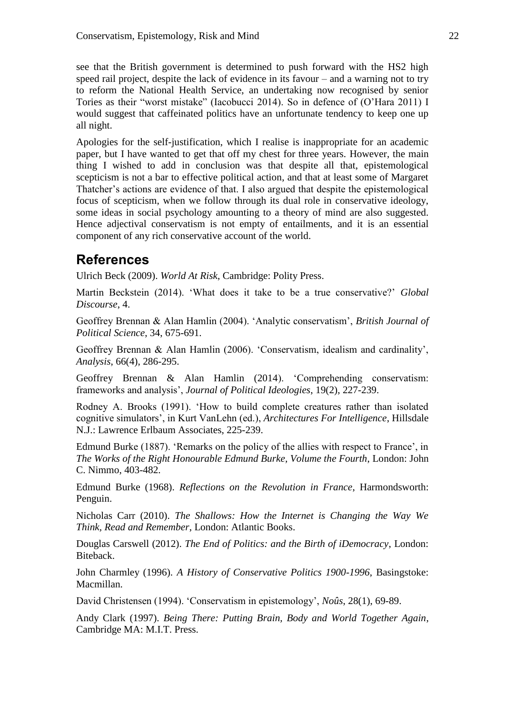see that the British government is determined to push forward with the HS2 high speed rail project, despite the lack of evidence in its favour – and a warning not to try to reform the National Health Service, an undertaking now recognised by senior Tories as their "worst mistake" (Iacobucci 2014). So in defence of (O'Hara 2011) I would suggest that caffeinated politics have an unfortunate tendency to keep one up all night.

Apologies for the self-justification, which I realise is inappropriate for an academic paper, but I have wanted to get that off my chest for three years. However, the main thing I wished to add in conclusion was that despite all that, epistemological scepticism is not a bar to effective political action, and that at least some of Margaret Thatcher's actions are evidence of that. I also argued that despite the epistemological focus of scepticism, when we follow through its dual role in conservative ideology, some ideas in social psychology amounting to a theory of mind are also suggested. Hence adjectival conservatism is not empty of entailments, and it is an essential component of any rich conservative account of the world.

# **References**

Ulrich Beck (2009). *World At Risk*, Cambridge: Polity Press.

Martin Beckstein (2014). 'What does it take to be a true conservative?' *Global Discourse*, 4.

Geoffrey Brennan & Alan Hamlin (2004). 'Analytic conservatism', *British Journal of Political Science*, 34, 675-691.

Geoffrey Brennan & Alan Hamlin (2006). 'Conservatism, idealism and cardinality', *Analysis*, 66(4), 286-295.

Geoffrey Brennan & Alan Hamlin (2014). 'Comprehending conservatism: frameworks and analysis', *Journal of Political Ideologies*, 19(2), 227-239.

Rodney A. Brooks (1991). 'How to build complete creatures rather than isolated cognitive simulators', in Kurt VanLehn (ed.), *Architectures For Intelligence*, Hillsdale N.J.: Lawrence Erlbaum Associates, 225-239.

Edmund Burke (1887). 'Remarks on the policy of the allies with respect to France', in *The Works of the Right Honourable Edmund Burke, Volume the Fourth*, London: John C. Nimmo, 403-482.

Edmund Burke (1968). *Reflections on the Revolution in France*, Harmondsworth: Penguin.

Nicholas Carr (2010). *The Shallows: How the Internet is Changing the Way We Think, Read and Remember*, London: Atlantic Books.

Douglas Carswell (2012). *The End of Politics: and the Birth of iDemocracy*, London: Biteback.

John Charmley (1996). *A History of Conservative Politics 1900-1996*, Basingstoke: Macmillan.

David Christensen (1994). 'Conservatism in epistemology', *Noûs*, 28(1), 69-89.

Andy Clark (1997). *Being There: Putting Brain, Body and World Together Again*, Cambridge MA: M.I.T. Press.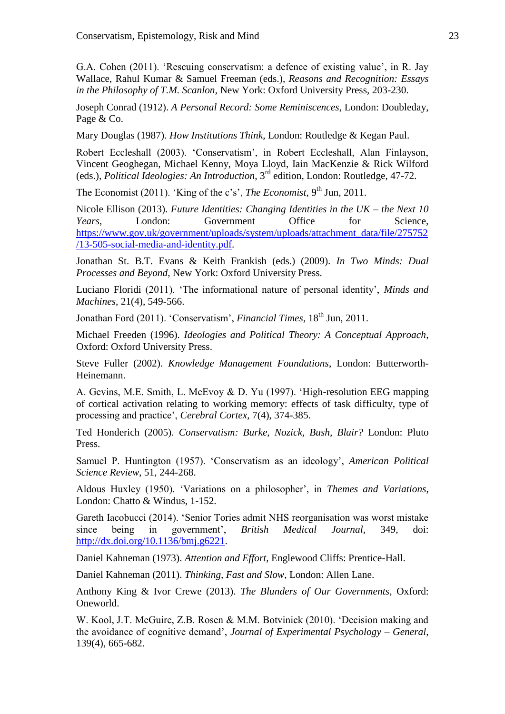G.A. Cohen (2011). 'Rescuing conservatism: a defence of existing value', in R. Jay Wallace, Rahul Kumar & Samuel Freeman (eds.), *Reasons and Recognition: Essays in the Philosophy of T.M. Scanlon*, New York: Oxford University Press, 203-230.

Joseph Conrad (1912). *A Personal Record: Some Reminiscences*, London: Doubleday, Page & Co.

Mary Douglas (1987). *How Institutions Think*, London: Routledge & Kegan Paul.

Robert Eccleshall (2003). 'Conservatism', in Robert Eccleshall, Alan Finlayson, Vincent Geoghegan, Michael Kenny, Moya Lloyd, Iain MacKenzie & Rick Wilford (eds.), *Political Ideologies: An Introduction*, 3rd edition, London: Routledge, 47-72.

The Economist (2011). 'King of the c's', *The Economist*, 9<sup>th</sup> Jun, 2011.

Nicole Ellison (2013). *Future Identities: Changing Identities in the UK – the Next 10 Years*, London: Government Office for Science, [https://www.gov.uk/government/uploads/system/uploads/attachment\\_data/file/275752](https://www.gov.uk/government/uploads/system/uploads/attachment_data/file/275752/13-505-social-media-and-identity.pdf) [/13-505-social-media-and-identity.pdf.](https://www.gov.uk/government/uploads/system/uploads/attachment_data/file/275752/13-505-social-media-and-identity.pdf)

Jonathan St. B.T. Evans & Keith Frankish (eds.) (2009). *In Two Minds: Dual Processes and Beyond*, New York: Oxford University Press.

Luciano Floridi (2011). 'The informational nature of personal identity', *Minds and Machines*, 21(4), 549-566.

Jonathan Ford (2011). 'Conservatism', *Financial Times*, 18<sup>th</sup> Jun, 2011.

Michael Freeden (1996). *Ideologies and Political Theory: A Conceptual Approach*, Oxford: Oxford University Press.

Steve Fuller (2002). *Knowledge Management Foundations*, London: Butterworth-Heinemann.

A. Gevins, M.E. Smith, L. McEvoy & D. Yu (1997). 'High-resolution EEG mapping of cortical activation relating to working memory: effects of task difficulty, type of processing and practice', *Cerebral Cortex*, 7(4), 374-385.

Ted Honderich (2005). *Conservatism: Burke, Nozick, Bush, Blair?* London: Pluto Press.

Samuel P. Huntington (1957). 'Conservatism as an ideology', *American Political Science Review*, 51, 244-268.

Aldous Huxley (1950). 'Variations on a philosopher', in *Themes and Variations*, London: Chatto & Windus, 1-152.

Gareth Iacobucci (2014). 'Senior Tories admit NHS reorganisation was worst mistake since being in government', *British Medical Journal*, 349, doi: [http://dx.doi.org/10.1136/bmj.g6221.](http://dx.doi.org/10.1136/bmj.g6221)

Daniel Kahneman (1973). *Attention and Effort*, Englewood Cliffs: Prentice-Hall.

Daniel Kahneman (2011). *Thinking, Fast and Slow*, London: Allen Lane.

Anthony King & Ivor Crewe (2013). *The Blunders of Our Governments*, Oxford: Oneworld.

W. Kool, J.T. McGuire, Z.B. Rosen & M.M. Botvinick (2010). 'Decision making and the avoidance of cognitive demand', *Journal of Experimental Psychology – General*, 139(4), 665-682.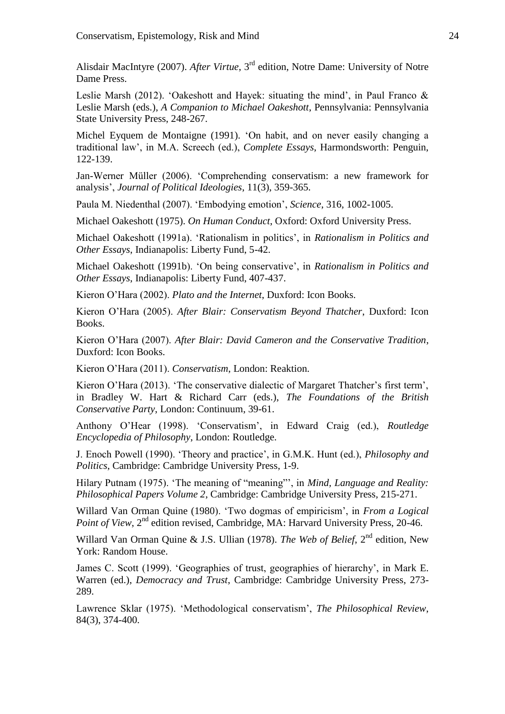Alisdair MacIntyre (2007). *After Virtue*, 3rd edition, Notre Dame: University of Notre Dame Press.

Leslie Marsh (2012). 'Oakeshott and Hayek: situating the mind', in Paul Franco & Leslie Marsh (eds.), *A Companion to Michael Oakeshott*, Pennsylvania: Pennsylvania State University Press, 248-267.

Michel Eyquem de Montaigne (1991). 'On habit, and on never easily changing a traditional law', in M.A. Screech (ed.), *Complete Essays*, Harmondsworth: Penguin, 122-139.

Jan-Werner Müller (2006). 'Comprehending conservatism: a new framework for analysis', *Journal of Political Ideologies*, 11(3), 359-365.

Paula M. Niedenthal (2007). 'Embodying emotion', *Science*, 316, 1002-1005.

Michael Oakeshott (1975). *On Human Conduct*, Oxford: Oxford University Press.

Michael Oakeshott (1991a). 'Rationalism in politics', in *Rationalism in Politics and Other Essays*, Indianapolis: Liberty Fund, 5-42.

Michael Oakeshott (1991b). 'On being conservative', in *Rationalism in Politics and Other Essays*, Indianapolis: Liberty Fund, 407-437.

Kieron O'Hara (2002). *Plato and the Internet*, Duxford: Icon Books.

Kieron O'Hara (2005). *After Blair: Conservatism Beyond Thatcher*, Duxford: Icon Books.

Kieron O'Hara (2007). *After Blair: David Cameron and the Conservative Tradition*, Duxford: Icon Books.

Kieron O'Hara (2011). *Conservatism*, London: Reaktion.

Kieron O'Hara (2013). 'The conservative dialectic of Margaret Thatcher's first term', in Bradley W. Hart & Richard Carr (eds.), *The Foundations of the British Conservative Party*, London: Continuum, 39-61.

Anthony O'Hear (1998). 'Conservatism', in Edward Craig (ed.), *Routledge Encyclopedia of Philosophy*, London: Routledge.

J. Enoch Powell (1990). 'Theory and practice', in G.M.K. Hunt (ed.), *Philosophy and Politics*, Cambridge: Cambridge University Press, 1-9.

Hilary Putnam (1975). 'The meaning of "meaning"', in *Mind, Language and Reality: Philosophical Papers Volume 2*, Cambridge: Cambridge University Press, 215-271.

Willard Van Orman Quine (1980). 'Two dogmas of empiricism', in *From a Logical Point of View*, 2<sup>nd</sup> edition revised, Cambridge, MA: Harvard University Press, 20-46.

Willard Van Orman Quine & J.S. Ullian (1978). *The Web of Belief*, 2<sup>nd</sup> edition, New York: Random House.

James C. Scott (1999). 'Geographies of trust, geographies of hierarchy', in Mark E. Warren (ed.), *Democracy and Trust*, Cambridge: Cambridge University Press, 273- 289.

Lawrence Sklar (1975). 'Methodological conservatism', *The Philosophical Review*, 84(3), 374-400.